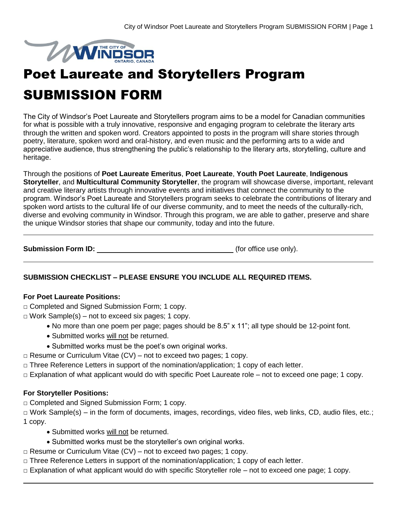

# Poet Laureate and Storytellers Program

## SUBMISSION FORM

The City of Windsor's Poet Laureate and Storytellers program aims to be a model for Canadian communities for what is possible with a truly innovative, responsive and engaging program to celebrate the literary arts through the written and spoken word. Creators appointed to posts in the program will share stories through poetry, literature, spoken word and oral-history, and even music and the performing arts to a wide and appreciative audience, thus strengthening the public's relationship to the literary arts, storytelling, culture and heritage.

Through the positions of **Poet Laureate Emeritus**, **Poet Laureate**, **Youth Poet Laureate**, **Indigenous Storyteller**, and **Multicultural Community Storyteller**, the program will showcase diverse, important, relevant and creative literary artists through innovative events and initiatives that connect the community to the program. Windsor's Poet Laureate and Storytellers program seeks to celebrate the contributions of literary and spoken word artists to the cultural life of our diverse community, and to meet the needs of the culturally-rich, diverse and evolving community in Windsor. Through this program, we are able to gather, preserve and share the unique Windsor stories that shape our community, today and into the future.

**Submission Form ID:**  $\qquad \qquad$  (for office use only).

## **SUBMISSION CHECKLIST – PLEASE ENSURE YOU INCLUDE ALL REQUIRED ITEMS.**

#### **For Poet Laureate Positions:**

□ Completed and Signed Submission Form; 1 copy.

 $\Box$  Work Sample(s) – not to exceed six pages; 1 copy.

- No more than one poem per page; pages should be 8.5" x 11"; all type should be 12-point font.
- Submitted works will not be returned.
- Submitted works must be the poet's own original works.
- $\Box$  Resume or Curriculum Vitae (CV) not to exceed two pages; 1 copy.
- $\Box$  Three Reference Letters in support of the nomination/application; 1 copy of each letter.
- □ Explanation of what applicant would do with specific Poet Laureate role not to exceed one page; 1 copy.

## **For Storyteller Positions:**

□ Completed and Signed Submission Form; 1 copy.

□ Work Sample(s) – in the form of documents, images, recordings, video files, web links, CD, audio files, etc.; 1 copy.

- Submitted works will not be returned.
- Submitted works must be the storyteller's own original works.
- $\Box$  Resume or Curriculum Vitae (CV) not to exceed two pages; 1 copy.
- □ Three Reference Letters in support of the nomination/application; 1 copy of each letter.
- □ Explanation of what applicant would do with specific Storyteller role not to exceed one page; 1 copy.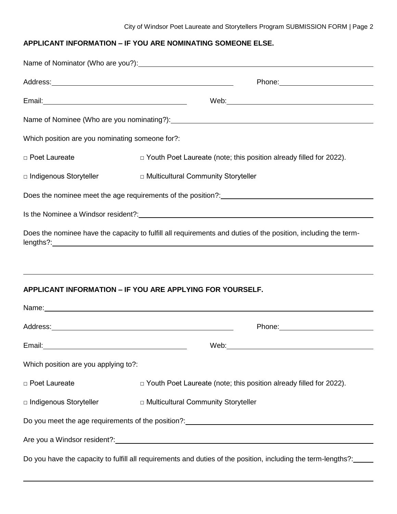## **APPLICANT INFORMATION – IF YOU ARE NOMINATING SOMEONE ELSE.**

|                                                 | Phone: 2000 2000 2010 2010 2010 2010 2011 2021 2022 2023 2024 2022 2023 2024 2022 2023 2024 2025 2026 2027 20                                                                                                                 |  |  |  |
|-------------------------------------------------|-------------------------------------------------------------------------------------------------------------------------------------------------------------------------------------------------------------------------------|--|--|--|
|                                                 |                                                                                                                                                                                                                               |  |  |  |
|                                                 | Name of Nominee (Who are you nominating?): Name is a series of the series of Nominee (Who are you nominating?):                                                                                                               |  |  |  |
| Which position are you nominating someone for?: |                                                                                                                                                                                                                               |  |  |  |
| □ Poet Laureate                                 | $\Box$ Youth Poet Laureate (note; this position already filled for 2022).                                                                                                                                                     |  |  |  |
|                                                 | □ Indigenous Storyteller<br>□ Multicultural Community Storyteller                                                                                                                                                             |  |  |  |
|                                                 | Does the nominee meet the age requirements of the position?:<br><u>Does the nominee meet the age requirements of the position?:</u>                                                                                           |  |  |  |
|                                                 | Is the Nominee a Windsor resident?: Manual According to the Nominee and Windsor resident?:                                                                                                                                    |  |  |  |
|                                                 | Does the nominee have the capacity to fulfill all requirements and duties of the position, including the term-                                                                                                                |  |  |  |
|                                                 |                                                                                                                                                                                                                               |  |  |  |
|                                                 |                                                                                                                                                                                                                               |  |  |  |
|                                                 | <b>APPLICANT INFORMATION - IF YOU ARE APPLYING FOR YOURSELF.</b>                                                                                                                                                              |  |  |  |
|                                                 | Name: Name: Name: Name: Name: Name: Name: Name: Name: Name: Name: Name: Name: Name: Name: Name: Name: Name: Name: Name: Name: Name: Name: Name: Name: Name: Name: Name: Name: Name: Name: Name: Name: Name: Name: Name: Name: |  |  |  |
|                                                 |                                                                                                                                                                                                                               |  |  |  |
| Email:                                          | Web:                                                                                                                                                                                                                          |  |  |  |
| Which position are you applying to?:            |                                                                                                                                                                                                                               |  |  |  |
| □ Poet Laureate                                 | $\Box$ Youth Poet Laureate (note; this position already filled for 2022).                                                                                                                                                     |  |  |  |
| □ Indigenous Storyteller                        | □ Multicultural Community Storyteller                                                                                                                                                                                         |  |  |  |
|                                                 | Do you meet the age requirements of the position?: [20] Do you meet the age requirements of the position?:                                                                                                                    |  |  |  |
|                                                 | Are you a Windsor resident?: Notified a service of the service of the service of the service of the service of                                                                                                                |  |  |  |
|                                                 | Do you have the capacity to fulfill all requirements and duties of the position, including the term-lengths?:<br>                                                                                                             |  |  |  |
|                                                 |                                                                                                                                                                                                                               |  |  |  |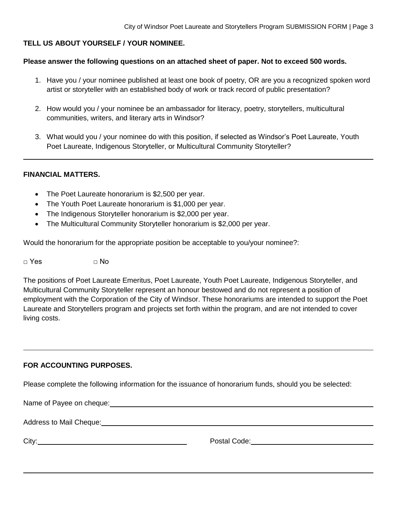## **TELL US ABOUT YOURSELF / YOUR NOMINEE.**

#### **Please answer the following questions on an attached sheet of paper. Not to exceed 500 words.**

- 1. Have you / your nominee published at least one book of poetry, OR are you a recognized spoken word artist or storyteller with an established body of work or track record of public presentation?
- 2. How would you / your nominee be an ambassador for literacy, poetry, storytellers, multicultural communities, writers, and literary arts in Windsor?
- 3. What would you / your nominee do with this position, if selected as Windsor's Poet Laureate, Youth Poet Laureate, Indigenous Storyteller, or Multicultural Community Storyteller?

#### **FINANCIAL MATTERS.**

- The Poet Laureate honorarium is \$2,500 per year.
- The Youth Poet Laureate honorarium is \$1,000 per year.
- The Indigenous Storyteller honorarium is \$2,000 per year.
- The Multicultural Community Storyteller honorarium is \$2,000 per year.

Would the honorarium for the appropriate position be acceptable to you/your nominee?:

□ Yes □ No

The positions of Poet Laureate Emeritus, Poet Laureate, Youth Poet Laureate, Indigenous Storyteller, and Multicultural Community Storyteller represent an honour bestowed and do not represent a position of employment with the Corporation of the City of Windsor. These honorariums are intended to support the Poet Laureate and Storytellers program and projects set forth within the program, and are not intended to cover living costs.

#### **FOR ACCOUNTING PURPOSES.**

Please complete the following information for the issuance of honorarium funds, should you be selected:

Name of Payee on cheque:

Address to Mail Cheque:

City: Postal Code: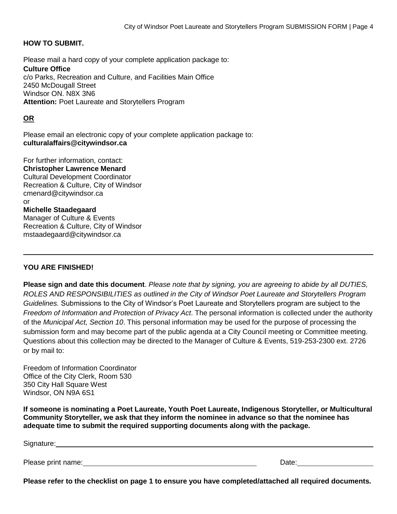#### **HOW TO SUBMIT.**

Please mail a hard copy of your complete application package to: **Culture Office** c/o Parks, Recreation and Culture, and Facilities Main Office 2450 McDougall Street Windsor ON. N8X 3N6 **Attention:** Poet Laureate and Storytellers Program

#### **OR**

Please email an electronic copy of your complete application package to: **culturalaffairs@citywindsor.ca** 

For further information, contact: **Christopher Lawrence Menard** Cultural Development Coordinator Recreation & Culture, City of Windsor cmenard@citywindsor.ca or **Michelle Staadegaard** Manager of Culture & Events Recreation & Culture, City of Windsor mstaadegaard@citywindsor.ca

#### **YOU ARE FINISHED!**

**Please sign and date this document**. *Please note that by signing, you are agreeing to abide by all DUTIES, ROLES AND RESPONSIBILITIES as outlined in the City of Windsor Poet Laureate and Storytellers Program Guidelines.* Submissions to the City of Windsor's Poet Laureate and Storytellers program are subject to the *Freedom of Information and Protection of Privacy Act*. The personal information is collected under the authority of the *Municipal Act, Section 10*. This personal information may be used for the purpose of processing the submission form and may become part of the public agenda at a City Council meeting or Committee meeting. Questions about this collection may be directed to the Manager of Culture & Events, 519-253-2300 ext. 2726 or by mail to:

Freedom of Information Coordinator Office of the City Clerk, Room 530 350 City Hall Square West Windsor, ON N9A 6S1

**If someone is nominating a Poet Laureate, Youth Poet Laureate, Indigenous Storyteller, or Multicultural Community Storyteller, we ask that they inform the nominee in advance so that the nominee has adequate time to submit the required supporting documents along with the package.**

| Signature:         |       |
|--------------------|-------|
|                    |       |
| Please print name: | Date: |

**Please refer to the checklist on page 1 to ensure you have completed/attached all required documents.**